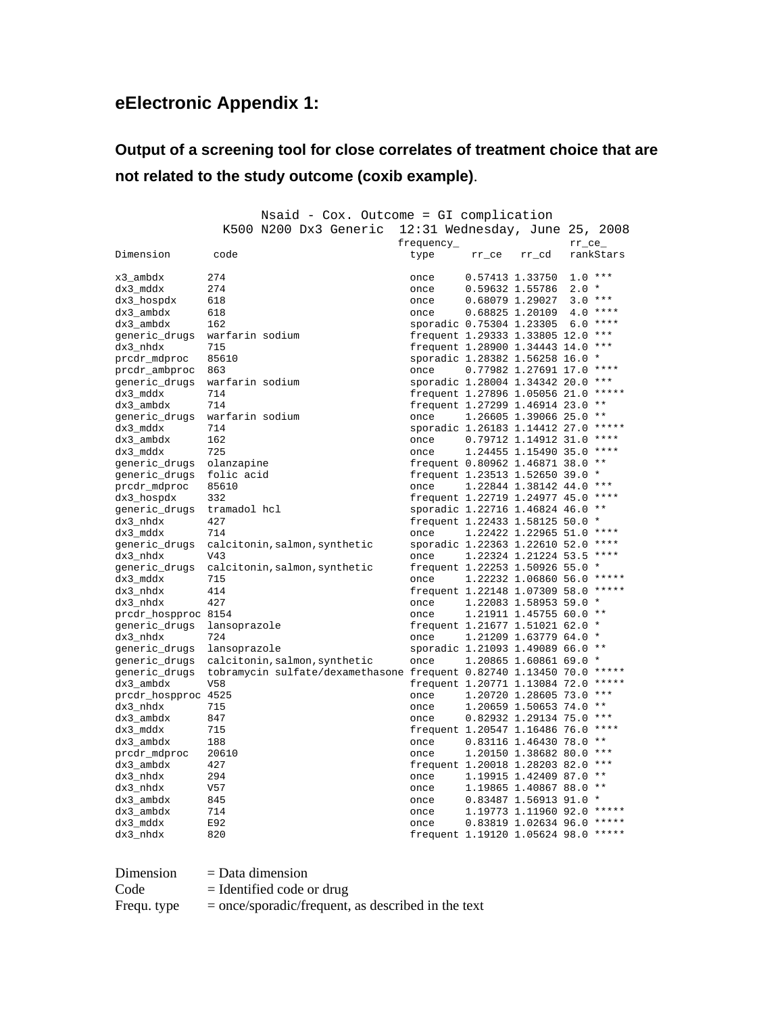# **eElectronic Appendix 1:**

# **Output of a screening tool for close correlates of treatment choice that are not related to the study outcome (coxib example)**.

|                     | Nsaid - Cox. Outcome = GI complication                               |            |                                     |               |
|---------------------|----------------------------------------------------------------------|------------|-------------------------------------|---------------|
|                     | K500 N200 Dx3 Generic                                                |            | $12:31$ Wednesday, June 25, 2008    |               |
|                     |                                                                      | frequency_ |                                     | $rr_{ce_}$    |
| Dimension           | code                                                                 | type       | $rr_{ce}$<br>rr_cd                  | rankStars     |
| x3_ambdx            | 274                                                                  | once       | 0.57413 1.33750                     | $1.0***$      |
| dx3_mddx            | 274                                                                  | once       | 0.59632 1.55786                     | $2.0*$        |
| dx3_hospdx          | 618                                                                  | once       | 0.68079 1.29027                     | $3.0***$      |
| $dx3$ ambd $x$      | 618                                                                  | once       | 0.68825 1.20109                     | $4.0***$      |
| dx3_ambdx           | 162                                                                  |            | sporadic 0.75304 1.23305            | $6.0***$      |
| generic_drugs       | warfarin sodium                                                      |            | frequent 1.29333 1.33805 12.0 ***   |               |
| dx3_nhdx            | 715                                                                  |            | frequent 1.28900 1.34443 14.0 ***   |               |
| predr_mdproc        | 85610                                                                |            | sporadic 1.28382 1.56258 16.0 *     |               |
| prcdr_ambproc       | 863                                                                  | once       | 0.77982 1.27691 17.0 ****           |               |
| generic_drugs       | warfarin sodium                                                      |            | sporadic 1.28004 1.34342 20.0 ***   |               |
| dx3_mddx            | 714                                                                  |            | frequent 1.27896 1.05056 21.0       | $***$ * * * * |
| $dx3$ ambd $x$      | 714                                                                  |            | frequent 1.27299 1.46914 23.0       | $***$         |
| generic_drugs       | warfarin sodium                                                      | once       | 1.26605 1.39066 25.0                | $\star\star$  |
| dx3_mddx            | 714                                                                  |            | sporadic 1.26183 1.14412 27.0 ***** |               |
| dx3_ambdx           | 162                                                                  | once       | 0.79712 1.14912 31.0                | ****          |
| dx3_mddx            | 725                                                                  | once       | 1.24455 1.15490 35.0 ****           |               |
| generic_drugs       | olanzapine                                                           |            | frequent 0.80962 1.46871 38.0       | $\star\star$  |
| generic_drugs       | folic acid                                                           |            | frequent 1.23513 1.52650 39.0 *     |               |
| predr_mdproc        | 85610                                                                | once       | 1.22844 1.38142 44.0 ***            |               |
| dx3_hospdx          | 332                                                                  |            | frequent 1.22719 1.24977 45.0 ****  |               |
| generic_drugs       | tramadol hcl                                                         |            | sporadic 1.22716 1.46824 46.0 **    |               |
| dx3_nhdx            | 427                                                                  |            | frequent 1.22433 1.58125 50.0 *     |               |
| dx3_mddx            | 714                                                                  | once       | 1.22422 1.22965 51.0 ****           |               |
| generic_drugs       | calcitonin, salmon, synthetic                                        |            | sporadic 1.22363 1.22610 52.0 ****  |               |
| dx3_nhdx            | V43                                                                  | once       | 1.22324 1.21224 53.5 ****           |               |
| generic_drugs       | calcitonin, salmon, synthetic                                        |            | frequent 1.22253 1.50926 55.0 *     |               |
| dx3_mddx            | 715                                                                  | once       | 1.22232 1.06860 56.0 *****          |               |
| dx3_nhdx            | 414                                                                  |            | frequent 1.22148 1.07309 58.0 ***** |               |
| dx3_nhdx            | 427                                                                  | once       | 1.22083 1.58953 59.0                | $\star$       |
| predr_hospproc 8154 |                                                                      | once       | 1.21911 1.45755 60.0 **             |               |
| generic_drugs       | lansoprazole                                                         |            | frequent 1.21677 1.51021 62.0 *     |               |
| dx3_nhdx            | 724                                                                  | once       | 1.21209 1.63779 64.0 *              |               |
| generic_drugs       | lansoprazole                                                         |            | sporadic 1.21093 1.49089 66.0 **    |               |
| generic_drugs       | calcitonin, salmon, synthetic                                        | once       | 1.20865 1.60861 69.0 *              |               |
| generic_drugs       | tobramycin sulfate/dexamethasone frequent 0.82740 1.13450 70.0 ***** |            |                                     |               |
| dx3_ambdx           | V58                                                                  |            | frequent 1.20771 1.13084 72.0 ***** |               |
| predr_hospproc 4525 |                                                                      | once       | 1.20720 1.28605 73.0                | $***$         |
| dx3_nhdx            | 715                                                                  | once       | 1.20659 1.50653 74.0 **             |               |
| dx3_ambdx           | 847                                                                  | once       | 0.82932 1.29134 75.0 ***            |               |
| dx3_mddx            | 715                                                                  |            | frequent 1.20547 1.16486 76.0 ****  |               |
| dx3_ambdx           | 188                                                                  | once       | 0.83116 1.46430 78.0                | $* *$         |
| predr_mdproc        | 20610                                                                | once       | 1.20150 1.38682 80.0 ***            |               |
| dx3_ambdx           | 427                                                                  |            | frequent 1.20018 1.28203 82.0       | $***$         |
| dx3_nhdx            | 294                                                                  | once       | 1.19915 1.42409 87.0                | $\star \star$ |
| dx3_nhdx            | V <sub>57</sub>                                                      | once       | 1.19865 1.40867 88.0                | $\star\star$  |
| dx3_ambdx           | 845                                                                  | once       | 0.83487 1.56913 91.0                | $\star$       |
| dx3_ambdx           | 714                                                                  | once       | 1.19773 1.11960 92.0 *****          |               |
| dx3_mddx            | E92                                                                  | once       | 0.83819 1.02634 96.0 *****          |               |
| dx3_nhdx            | 820                                                                  |            | frequent 1.19120 1.05624 98.0 ***** |               |

 $Dimension = Data dimension$ 

 $Code = Identified code or drug$ 

Frequ. type  $=$  once/sporadic/frequent, as described in the text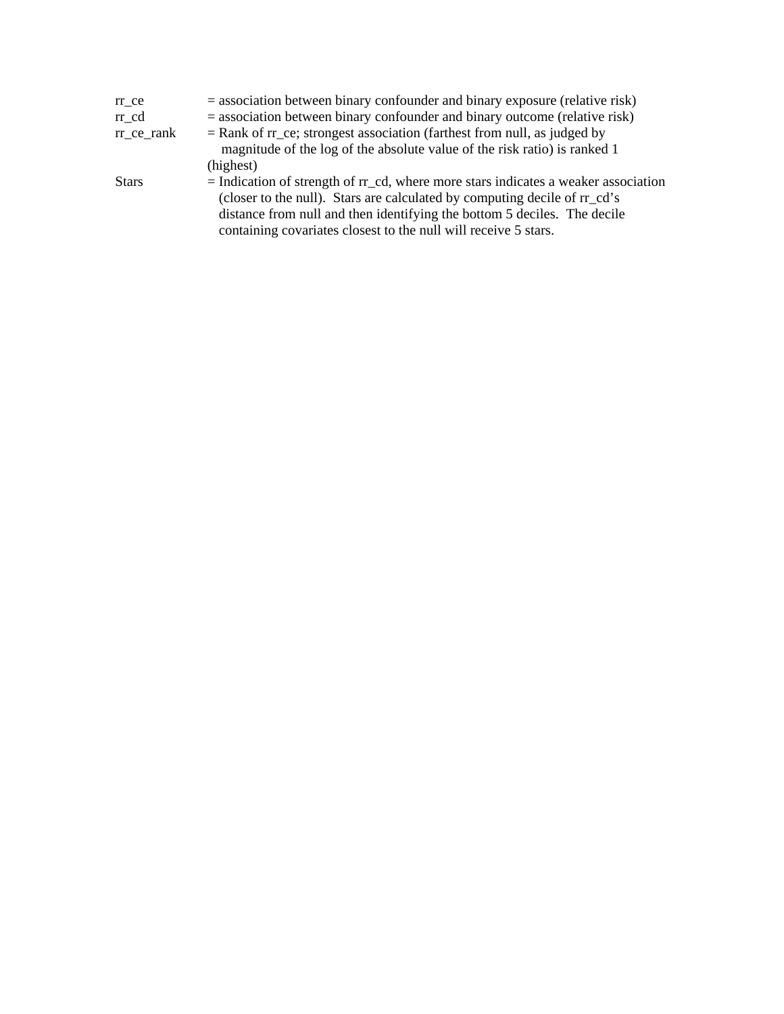| rr ce        | $=$ association between binary confounder and binary exposure (relative risk)                                                                                         |  |  |
|--------------|-----------------------------------------------------------------------------------------------------------------------------------------------------------------------|--|--|
| rr cd        | $=$ association between binary confounder and binary outcome (relative risk)                                                                                          |  |  |
| rr ce rank   | $=$ Rank of $rr_{ce}$ ; strongest association (farthest from null, as judged by                                                                                       |  |  |
|              | magnitude of the log of the absolute value of the risk ratio) is ranked 1                                                                                             |  |  |
|              | (highest)                                                                                                                                                             |  |  |
| <b>Stars</b> | $=$ Indication of strength of $rr\_cd$ , where more stars indicates a weaker association<br>(closer to the null). Stars are calculated by computing decile of rr_cd's |  |  |
|              | distance from null and then identifying the bottom 5 deciles. The decile<br>containing covariates closest to the null will receive 5 stars.                           |  |  |
|              |                                                                                                                                                                       |  |  |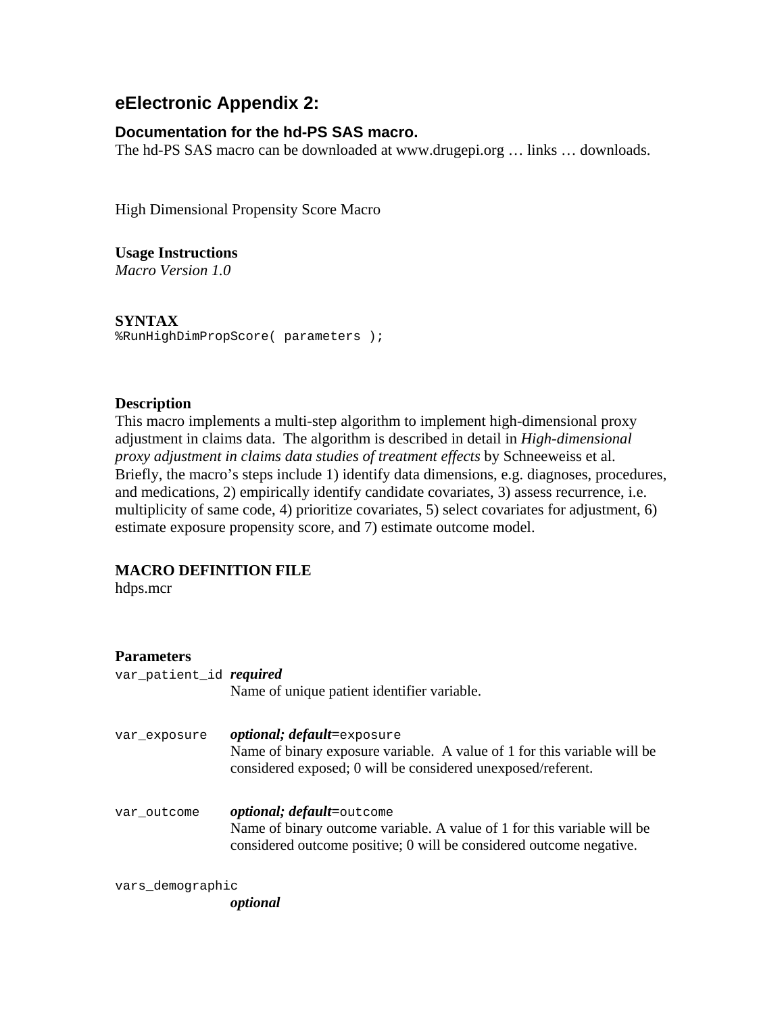## **eElectronic Appendix 2:**

## **Documentation for the hd-PS SAS macro.**

The hd-PS SAS macro can be downloaded at www.drugepi.org … links … downloads.

High Dimensional Propensity Score Macro

**Usage Instructions** *Macro Version 1.0* 

**SYNTAX**  %RunHighDimPropScore( parameters );

## **Description**

This macro implements a multi-step algorithm to implement high-dimensional proxy adjustment in claims data. The algorithm is described in detail in *High-dimensional proxy adjustment in claims data studies of treatment effects* by Schneeweiss et al. Briefly, the macro's steps include 1) identify data dimensions, e.g. diagnoses, procedures, and medications, 2) empirically identify candidate covariates, 3) assess recurrence, i.e. multiplicity of same code, 4) prioritize covariates, 5) select covariates for adjustment, 6) estimate exposure propensity score, and 7) estimate outcome model.

## **MACRO DEFINITION FILE**

hdps.mcr

## **Parameters**

| var_patient_id required | Name of unique patient identifier variable.                                                                                                                                        |
|-------------------------|------------------------------------------------------------------------------------------------------------------------------------------------------------------------------------|
| var exposure            | <i>optional; default=exposure</i><br>Name of binary exposure variable. A value of 1 for this variable will be<br>considered exposed; 0 will be considered unexposed/referent.      |
| var outcome             | <i>optional; default=outcome</i><br>Name of binary outcome variable. A value of 1 for this variable will be<br>considered outcome positive; 0 will be considered outcome negative. |
| vars demographic        |                                                                                                                                                                                    |

*optional*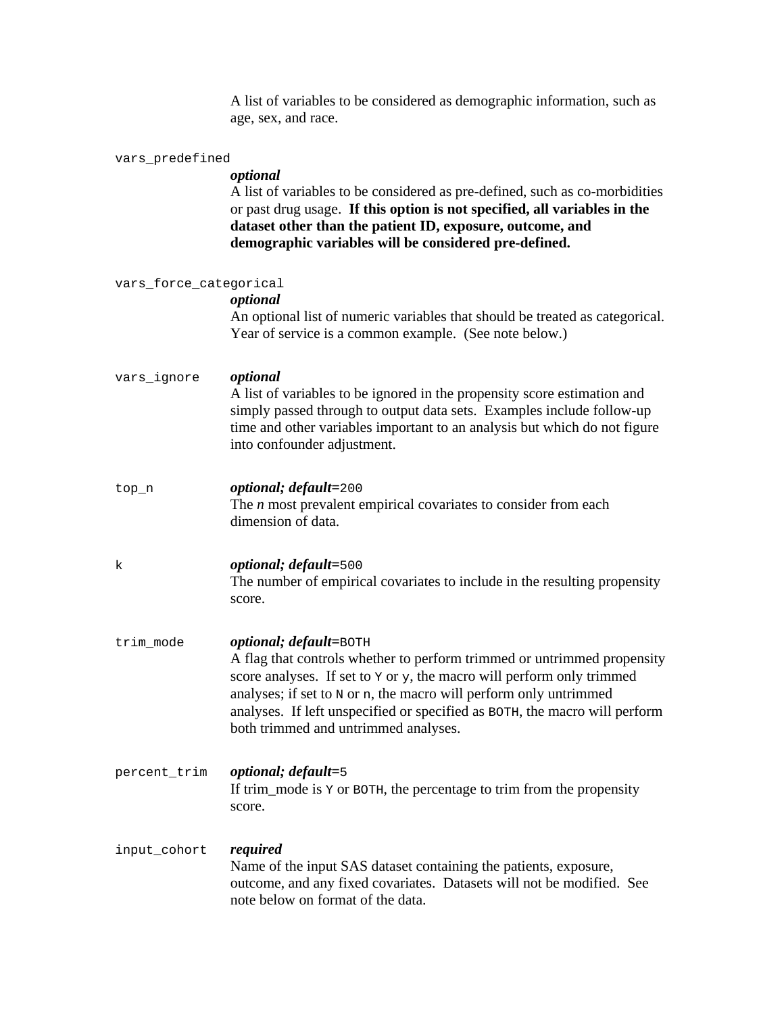A list of variables to be considered as demographic information, such as age, sex, and race.

#### vars\_predefined

vars\_force\_categorical

## *optional*

A list of variables to be considered as pre-defined, such as co-morbidities or past drug usage. **If this option is not specified, all variables in the dataset other than the patient ID, exposure, outcome, and demographic variables will be considered pre-defined.**

|              | optional<br>An optional list of numeric variables that should be treated as categorical.<br>Year of service is a common example. (See note below.)                                                                                                                                                                                                                         |
|--------------|----------------------------------------------------------------------------------------------------------------------------------------------------------------------------------------------------------------------------------------------------------------------------------------------------------------------------------------------------------------------------|
| vars_ignore  | optional<br>A list of variables to be ignored in the propensity score estimation and<br>simply passed through to output data sets. Examples include follow-up<br>time and other variables important to an analysis but which do not figure<br>into confounder adjustment.                                                                                                  |
| top_n        | optional; default=200<br>The $n$ most prevalent empirical covariates to consider from each<br>dimension of data.                                                                                                                                                                                                                                                           |
| k            | optional; default=500<br>The number of empirical covariates to include in the resulting propensity<br>score.                                                                                                                                                                                                                                                               |
| trim_mode    | optional; default=BOTH<br>A flag that controls whether to perform trimmed or untrimmed propensity<br>score analyses. If set to $y$ or $y$ , the macro will perform only trimmed<br>analyses; if set to N or n, the macro will perform only untrimmed<br>analyses. If left unspecified or specified as BOTH, the macro will perform<br>both trimmed and untrimmed analyses. |
| percent_trim | <i>optional; default=5</i><br>If trim_mode is $\gamma$ or born, the percentage to trim from the propensity<br>score.                                                                                                                                                                                                                                                       |
| input_cohort | required<br>Name of the input SAS dataset containing the patients, exposure,<br>outcome, and any fixed covariates. Datasets will not be modified. See<br>note below on format of the data.                                                                                                                                                                                 |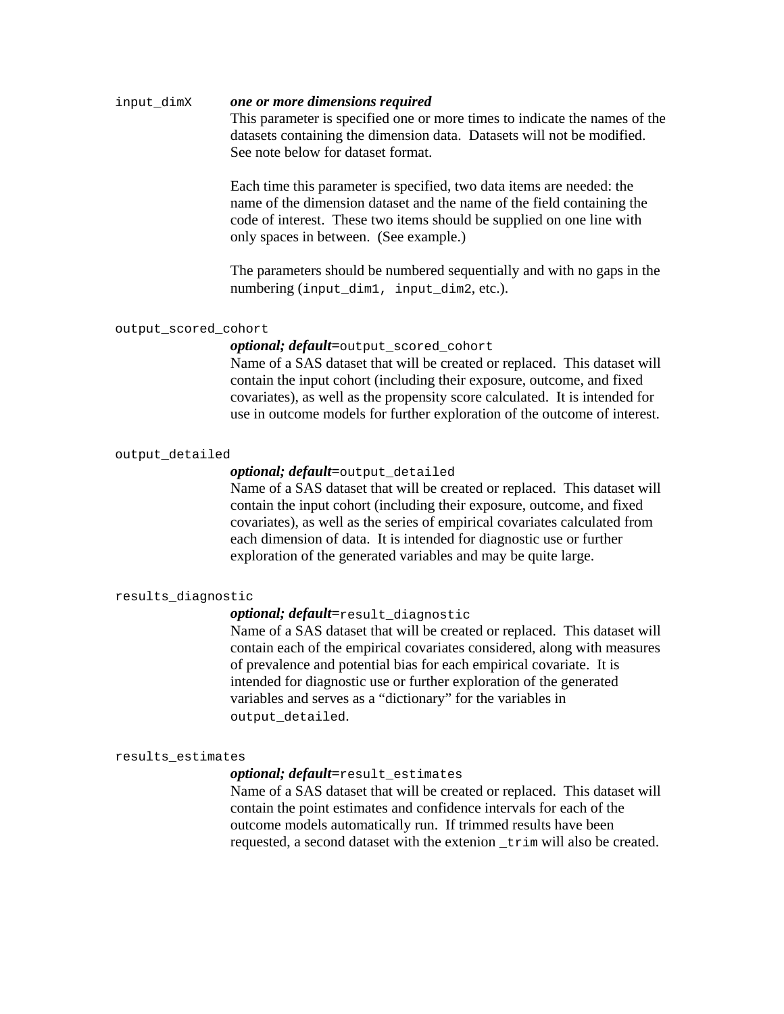## input\_dimX *one or more dimensions required*

This parameter is specified one or more times to indicate the names of the datasets containing the dimension data. Datasets will not be modified. See note below for dataset format.

Each time this parameter is specified, two data items are needed: the name of the dimension dataset and the name of the field containing the code of interest. These two items should be supplied on one line with only spaces in between. (See example.)

The parameters should be numbered sequentially and with no gaps in the numbering (input\_dim1, input\_dim2, etc.).

#### output\_scored\_cohort

*optional; default=*output\_scored\_cohort

Name of a SAS dataset that will be created or replaced. This dataset will contain the input cohort (including their exposure, outcome, and fixed covariates), as well as the propensity score calculated. It is intended for use in outcome models for further exploration of the outcome of interest.

#### output\_detailed

### *optional; default=*output\_detailed

Name of a SAS dataset that will be created or replaced. This dataset will contain the input cohort (including their exposure, outcome, and fixed covariates), as well as the series of empirical covariates calculated from each dimension of data. It is intended for diagnostic use or further exploration of the generated variables and may be quite large.

#### results\_diagnostic

### *optional; default=*result\_diagnostic

Name of a SAS dataset that will be created or replaced. This dataset will contain each of the empirical covariates considered, along with measures of prevalence and potential bias for each empirical covariate. It is intended for diagnostic use or further exploration of the generated variables and serves as a "dictionary" for the variables in output\_detailed.

#### results\_estimates

### *optional; default=*result\_estimates

Name of a SAS dataset that will be created or replaced. This dataset will contain the point estimates and confidence intervals for each of the outcome models automatically run. If trimmed results have been requested, a second dataset with the extenion \_trim will also be created.